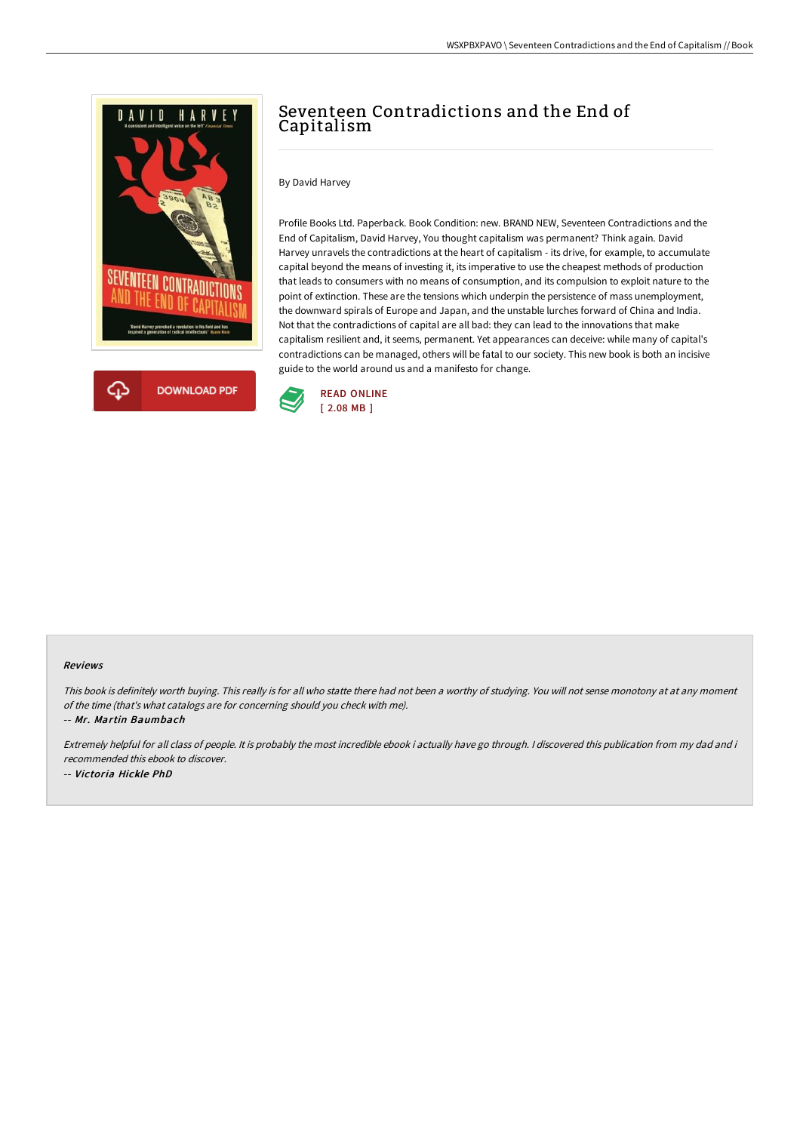



# Seventeen Contradictions and the End of Capitalism

By David Harvey

Profile Books Ltd. Paperback. Book Condition: new. BRAND NEW, Seventeen Contradictions and the End of Capitalism, David Harvey, You thought capitalism was permanent? Think again. David Harvey unravels the contradictions at the heart of capitalism - its drive, for example, to accumulate capital beyond the means of investing it, its imperative to use the cheapest methods of production that leads to consumers with no means of consumption, and its compulsion to exploit nature to the point of extinction. These are the tensions which underpin the persistence of mass unemployment, the downward spirals of Europe and Japan, and the unstable lurches forward of China and India. Not that the contradictions of capital are all bad: they can lead to the innovations that make capitalism resilient and, it seems, permanent. Yet appearances can deceive: while many of capital's contradictions can be managed, others will be fatal to our society. This new book is both an incisive guide to the world around us and a manifesto for change.



#### Reviews

This book is definitely worth buying. This really is for all who statte there had not been a worthy of studying. You will not sense monotony at at any moment of the time (that's what catalogs are for concerning should you check with me).

-- Mr. Martin Baumbach

Extremely helpful for all class of people. It is probably the most incredible ebook i actually have go through. <sup>I</sup> discovered this publication from my dad and i recommended this ebook to discover. -- Victoria Hickle PhD